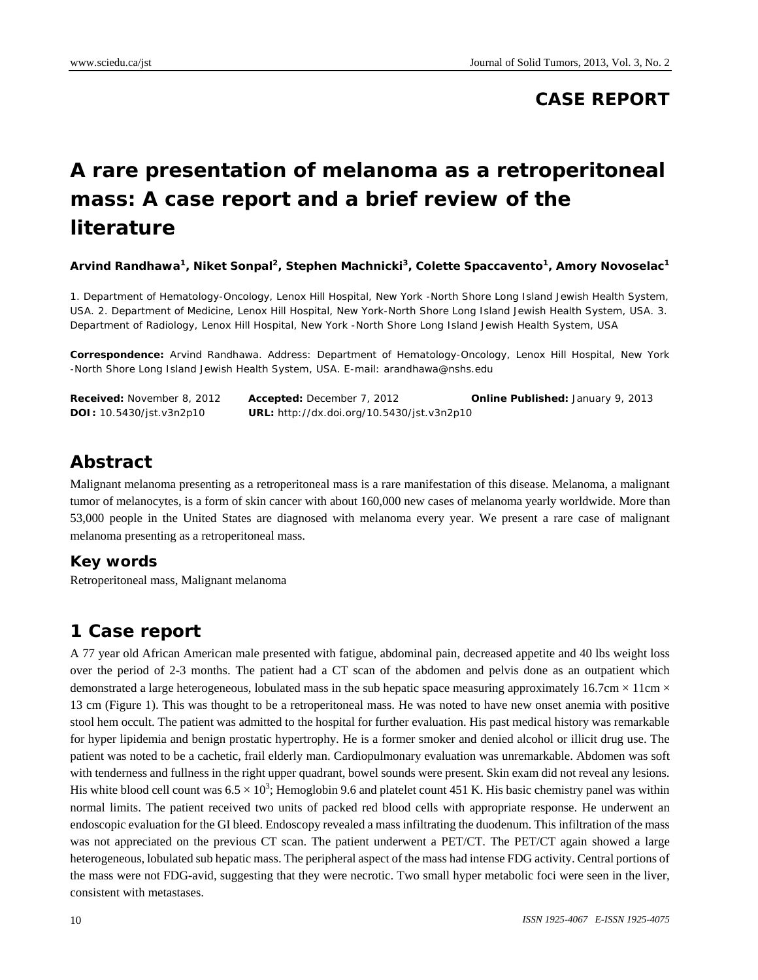#### **CASE REPORT**

# **A rare presentation of melanoma as a retroperitoneal mass: A case report and a brief review of the literature**

Arvind Randhawa<sup>1</sup>, Niket Sonpal<sup>2</sup>, Stephen Machnicki<sup>3</sup>, Colette Spaccavento<sup>1</sup>, Amory Novoselac<sup>1</sup>

1. Department of Hematology-Oncology, Lenox Hill Hospital, New York -North Shore Long Island Jewish Health System, USA. 2. Department of Medicine, Lenox Hill Hospital, New York-North Shore Long Island Jewish Health System, USA. 3. Department of Radiology, Lenox Hill Hospital, New York -North Shore Long Island Jewish Health System, USA

**Correspondence:** Arvind Randhawa. Address: Department of Hematology-Oncology, Lenox Hill Hospital, New York -North Shore Long Island Jewish Health System, USA. E-mail: arandhawa@nshs.edu

| <b>Received:</b> November 8, 2012 | Accepted: December 7, 2012                 | <b>Online Published: January 9, 2013</b> |
|-----------------------------------|--------------------------------------------|------------------------------------------|
| <b>DOI:</b> 10.5430/jst.v3n2p10   | URL: http://dx.doi.org/10.5430/jst.v3n2p10 |                                          |

#### **Abstract**

Malignant melanoma presenting as a retroperitoneal mass is a rare manifestation of this disease. Melanoma, a malignant tumor of melanocytes, is a form of skin cancer with about 160,000 new cases of melanoma yearly worldwide. More than 53,000 people in the United States are diagnosed with melanoma every year. We present a rare case of malignant melanoma presenting as a retroperitoneal mass.

#### **Key words**

Retroperitoneal mass, Malignant melanoma

## **1 Case report**

A 77 year old African American male presented with fatigue, abdominal pain, decreased appetite and 40 lbs weight loss over the period of 2-3 months. The patient had a CT scan of the abdomen and pelvis done as an outpatient which demonstrated a large heterogeneous, lobulated mass in the sub hepatic space measuring approximately 16.7cm  $\times$  11cm  $\times$ 13 cm (Figure 1). This was thought to be a retroperitoneal mass. He was noted to have new onset anemia with positive stool hem occult. The patient was admitted to the hospital for further evaluation. His past medical history was remarkable for hyper lipidemia and benign prostatic hypertrophy. He is a former smoker and denied alcohol or illicit drug use. The patient was noted to be a cachetic, frail elderly man. Cardiopulmonary evaluation was unremarkable. Abdomen was soft with tenderness and fullness in the right upper quadrant, bowel sounds were present. Skin exam did not reveal any lesions. His white blood cell count was  $6.5 \times 10^3$ ; Hemoglobin 9.6 and platelet count 451 K. His basic chemistry panel was within normal limits. The patient received two units of packed red blood cells with appropriate response. He underwent an endoscopic evaluation for the GI bleed. Endoscopy revealed a mass infiltrating the duodenum. This infiltration of the mass was not appreciated on the previous CT scan. The patient underwent a PET/CT. The PET/CT again showed a large heterogeneous, lobulated sub hepatic mass. The peripheral aspect of the mass had intense FDG activity. Central portions of the mass were not FDG-avid, suggesting that they were necrotic. Two small hyper metabolic foci were seen in the liver, consistent with metastases.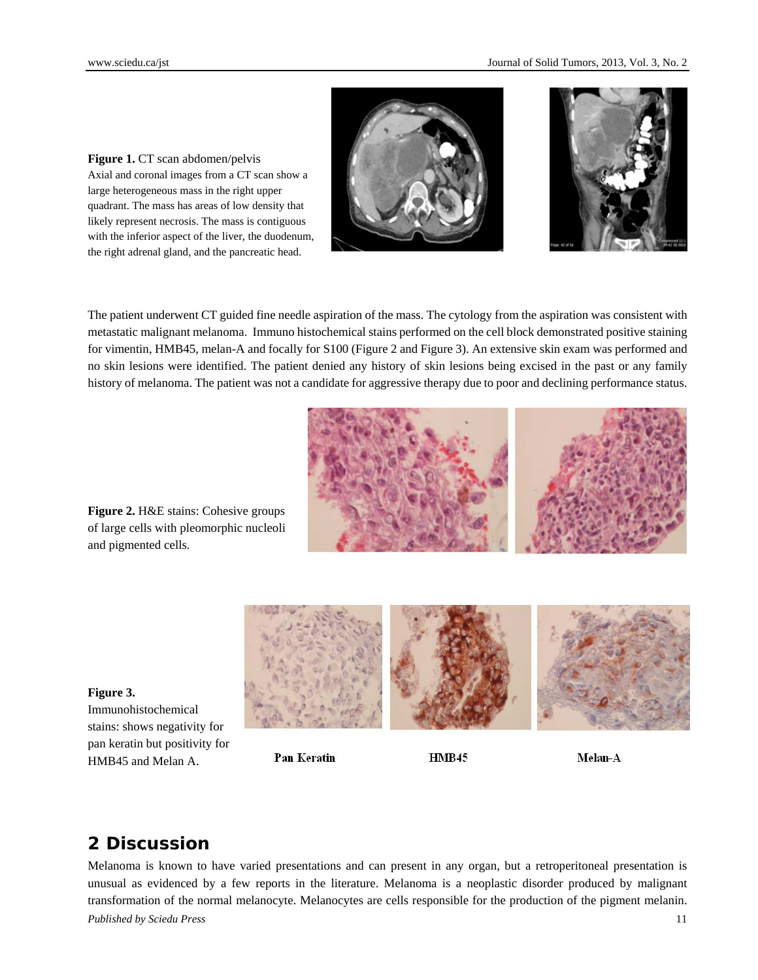



**Figure 1.** CT scan abdomen/pelvis Axial and coronal images from a CT scan show a large heterogeneous mass in the right upper quadrant. The mass has areas of low density that likely represent necrosis. The mass is contiguous with the inferior aspect of the liver, the duodenum, the right adrenal gland, and the pancreatic head.

The patient underwent CT guided fine needle aspiration of the mass. The cytology from the aspiration was consistent with metastatic malignant melanoma. Immuno histochemical stains performed on the cell block demonstrated positive staining for vimentin, HMB45, melan-A and focally for S100 (Figure 2 and Figure 3). An extensive skin exam was performed and no skin lesions were identified. The patient denied any history of skin lesions being excised in the past or any family history of melanoma. The patient was not a candidate for aggressive therapy due to poor and declining performance status.



**Figure 2.** H&E stains: Cohesive groups of large cells with pleomorphic nucleoli and pigmented cells.



stains: shows negativity for pan keratin but positivity for HMB45 and Melan A.

Immunohistochemical

**Figure 3.**

#### **Pan Keratin**

HMB45

Melan-A

## **2 Discussion**

*Published by Sciedu Press* 11 Melanoma is known to have varied presentations and can present in any organ, but a retroperitoneal presentation is unusual as evidenced by a few reports in the literature. Melanoma is a neoplastic disorder produced by malignant transformation of the normal melanocyte. Melanocytes are cells responsible for the production of the pigment melanin.